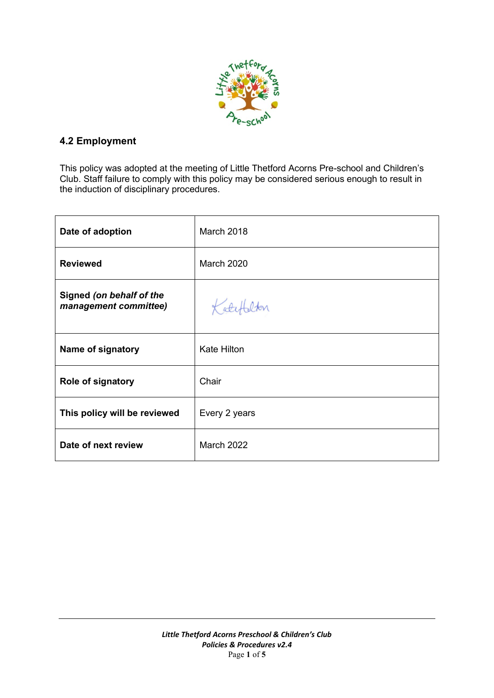

# **4.2 Employment**

This policy was adopted at the meeting of Little Thetford Acorns Pre-school and Children's Club. Staff failure to comply with this policy may be considered serious enough to result in the induction of disciplinary procedures.

| Date of adoption                                  | <b>March 2018</b>  |
|---------------------------------------------------|--------------------|
| <b>Reviewed</b>                                   | <b>March 2020</b>  |
| Signed (on behalf of the<br>management committee) | Katifolden         |
| Name of signatory                                 | <b>Kate Hilton</b> |
| Role of signatory                                 | Chair              |
| This policy will be reviewed                      | Every 2 years      |
| Date of next review                               | <b>March 2022</b>  |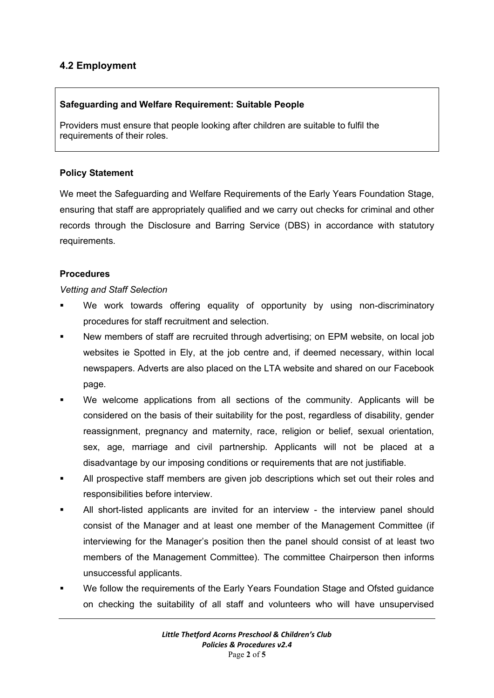# **4.2 Employment**

#### **Safeguarding and Welfare Requirement: Suitable People**

Providers must ensure that people looking after children are suitable to fulfil the requirements of their roles.

#### **Policy Statement**

We meet the Safeguarding and Welfare Requirements of the Early Years Foundation Stage, ensuring that staff are appropriately qualified and we carry out checks for criminal and other records through the Disclosure and Barring Service (DBS) in accordance with statutory requirements.

#### **Procedures**

*Vetting and Staff Selection*

- We work towards offering equality of opportunity by using non-discriminatory procedures for staff recruitment and selection.
- New members of staff are recruited through advertising; on EPM website, on local job websites ie Spotted in Ely, at the job centre and, if deemed necessary, within local newspapers. Adverts are also placed on the LTA website and shared on our Facebook page.
- We welcome applications from all sections of the community. Applicants will be considered on the basis of their suitability for the post, regardless of disability, gender reassignment, pregnancy and maternity, race, religion or belief, sexual orientation, sex, age, marriage and civil partnership. Applicants will not be placed at a disadvantage by our imposing conditions or requirements that are not justifiable.
- All prospective staff members are given job descriptions which set out their roles and responsibilities before interview.
- All short-listed applicants are invited for an interview the interview panel should consist of the Manager and at least one member of the Management Committee (if interviewing for the Manager's position then the panel should consist of at least two members of the Management Committee). The committee Chairperson then informs unsuccessful applicants.
- We follow the requirements of the Early Years Foundation Stage and Ofsted guidance on checking the suitability of all staff and volunteers who will have unsupervised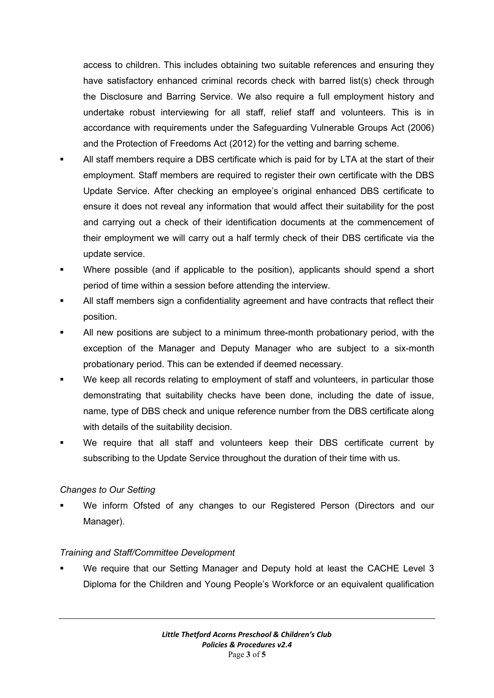access to children. This includes obtaining two suitable references and ensuring they have satisfactory enhanced criminal records check with barred list(s) check through the Disclosure and Barring Service. We also require a full employment history and undertake robust interviewing for all staff, relief staff and volunteers. This is in accordance with requirements under the Safeguarding Vulnerable Groups Act (2006) and the Protection of Freedoms Act (2012) for the vetting and barring scheme.

- All staff members require a DBS certificate which is paid for by LTA at the start of their employment. Staff members are required to register their own certificate with the DBS Update Service. After checking an employee's original enhanced DBS certificate to ensure it does not reveal any information that would affect their suitability for the post and carrying out a check of their identification documents at the commencement of their employment we will carry out a half termly check of their DBS certificate via the update service.
- Where possible (and if applicable to the position), applicants should spend a short period of time within a session before attending the interview.
- All staff members sign a confidentiality agreement and have contracts that reflect their position.
- All new positions are subject to a minimum three-month probationary period, with the exception of the Manager and Deputy Manager who are subject to a six-month probationary period. This can be extended if deemed necessary.
- We keep all records relating to employment of staff and volunteers, in particular those demonstrating that suitability checks have been done, including the date of issue, name, type of DBS check and unique reference number from the DBS certificate along with details of the suitability decision.
- We require that all staff and volunteers keep their DBS certificate current by subscribing to the Update Service throughout the duration of their time with us.

# *Changes to Our Setting*

We inform Ofsted of any changes to our Registered Person (Directors and our Manager).

# *Training and Staff/Committee Development*

We require that our Setting Manager and Deputy hold at least the CACHE Level 3 Diploma for the Children and Young People's Workforce or an equivalent qualification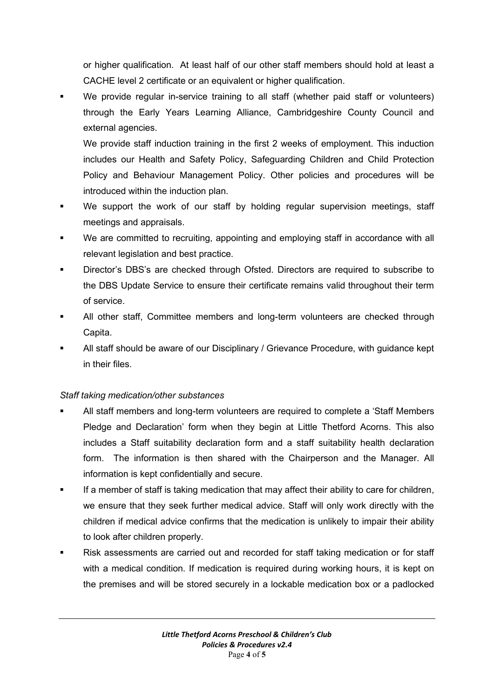or higher qualification. At least half of our other staff members should hold at least a CACHE level 2 certificate or an equivalent or higher qualification.

We provide regular in-service training to all staff (whether paid staff or volunteers) through the Early Years Learning Alliance, Cambridgeshire County Council and external agencies.

We provide staff induction training in the first 2 weeks of employment. This induction includes our Health and Safety Policy, Safeguarding Children and Child Protection Policy and Behaviour Management Policy. Other policies and procedures will be introduced within the induction plan.

- We support the work of our staff by holding regular supervision meetings, staff meetings and appraisals.
- We are committed to recruiting, appointing and employing staff in accordance with all relevant legislation and best practice.
- Director's DBS's are checked through Ofsted. Directors are required to subscribe to the DBS Update Service to ensure their certificate remains valid throughout their term of service.
- All other staff, Committee members and long-term volunteers are checked through Capita.
- All staff should be aware of our Disciplinary / Grievance Procedure, with guidance kept in their files.

# *Staff taking medication/other substances*

- All staff members and long-term volunteers are required to complete a 'Staff Members' Pledge and Declaration' form when they begin at Little Thetford Acorns. This also includes a Staff suitability declaration form and a staff suitability health declaration form. The information is then shared with the Chairperson and the Manager. All information is kept confidentially and secure.
- **■** If a member of staff is taking medication that may affect their ability to care for children, we ensure that they seek further medical advice. Staff will only work directly with the children if medical advice confirms that the medication is unlikely to impair their ability to look after children properly.
- Risk assessments are carried out and recorded for staff taking medication or for staff with a medical condition. If medication is required during working hours, it is kept on the premises and will be stored securely in a lockable medication box or a padlocked